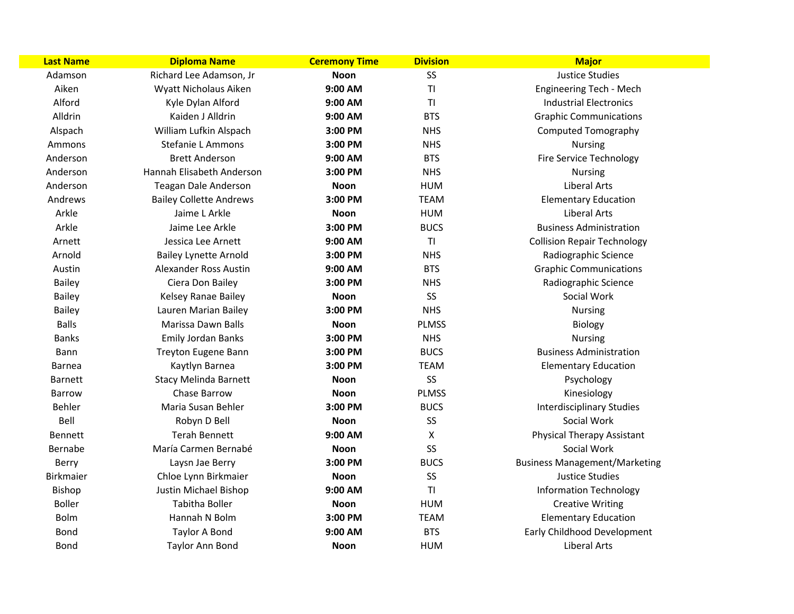| <b>Last Name</b> | <b>Diploma Name</b>            | <b>Ceremony Time</b> | <b>Division</b> | <b>Major</b>                         |
|------------------|--------------------------------|----------------------|-----------------|--------------------------------------|
| Adamson          | Richard Lee Adamson, Jr        | <b>Noon</b>          | SS              | <b>Justice Studies</b>               |
| Aiken            | Wyatt Nicholaus Aiken          | 9:00 AM              | TI              | Engineering Tech - Mech              |
| Alford           | Kyle Dylan Alford              | 9:00 AM              | TI              | <b>Industrial Electronics</b>        |
| Alldrin          | Kaiden J Alldrin               | $9:00$ AM            | <b>BTS</b>      | <b>Graphic Communications</b>        |
| Alspach          | William Lufkin Alspach         | 3:00 PM              | <b>NHS</b>      | <b>Computed Tomography</b>           |
| Ammons           | Stefanie L Ammons              | 3:00 PM              | <b>NHS</b>      | <b>Nursing</b>                       |
| Anderson         | <b>Brett Anderson</b>          | 9:00 AM              | <b>BTS</b>      | <b>Fire Service Technology</b>       |
| Anderson         | Hannah Elisabeth Anderson      | 3:00 PM              | <b>NHS</b>      | <b>Nursing</b>                       |
| Anderson         | <b>Teagan Dale Anderson</b>    | <b>Noon</b>          | <b>HUM</b>      | Liberal Arts                         |
| Andrews          | <b>Bailey Collette Andrews</b> | 3:00 PM              | <b>TEAM</b>     | <b>Elementary Education</b>          |
| Arkle            | Jaime L Arkle                  | <b>Noon</b>          | <b>HUM</b>      | <b>Liberal Arts</b>                  |
| Arkle            | Jaime Lee Arkle                | 3:00 PM              | <b>BUCS</b>     | <b>Business Administration</b>       |
| Arnett           | Jessica Lee Arnett             | 9:00 AM              | T1              | <b>Collision Repair Technology</b>   |
| Arnold           | <b>Bailey Lynette Arnold</b>   | 3:00 PM              | <b>NHS</b>      | Radiographic Science                 |
| Austin           | <b>Alexander Ross Austin</b>   | $9:00$ AM            | <b>BTS</b>      | <b>Graphic Communications</b>        |
| <b>Bailey</b>    | Ciera Don Bailey               | 3:00 PM              | <b>NHS</b>      | Radiographic Science                 |
| <b>Bailey</b>    | Kelsey Ranae Bailey            | <b>Noon</b>          | SS              | Social Work                          |
| <b>Bailey</b>    | Lauren Marian Bailey           | 3:00 PM              | <b>NHS</b>      | Nursing                              |
| <b>Balls</b>     | Marissa Dawn Balls             | <b>Noon</b>          | <b>PLMSS</b>    | <b>Biology</b>                       |
| <b>Banks</b>     | Emily Jordan Banks             | 3:00 PM              | <b>NHS</b>      | <b>Nursing</b>                       |
| Bann             | Treyton Eugene Bann            | 3:00 PM              | <b>BUCS</b>     | <b>Business Administration</b>       |
| <b>Barnea</b>    | Kaytlyn Barnea                 | 3:00 PM              | <b>TEAM</b>     | <b>Elementary Education</b>          |
| <b>Barnett</b>   | <b>Stacy Melinda Barnett</b>   | <b>Noon</b>          | SS              | Psychology                           |
| <b>Barrow</b>    | Chase Barrow                   | <b>Noon</b>          | <b>PLMSS</b>    | Kinesiology                          |
| Behler           | Maria Susan Behler             | 3:00 PM              | <b>BUCS</b>     | <b>Interdisciplinary Studies</b>     |
| Bell             | Robyn D Bell                   | <b>Noon</b>          | SS              | Social Work                          |
| <b>Bennett</b>   | <b>Terah Bennett</b>           | 9:00 AM              | X               | Physical Therapy Assistant           |
| Bernabe          | María Carmen Bernabé           | <b>Noon</b>          | SS              | Social Work                          |
| Berry            | Laysn Jae Berry                | 3:00 PM              | <b>BUCS</b>     | <b>Business Management/Marketing</b> |
| <b>Birkmaier</b> | Chloe Lynn Birkmaier           | <b>Noon</b>          | SS              | Justice Studies                      |
| Bishop           | Justin Michael Bishop          | 9:00 AM              | TI              | <b>Information Technology</b>        |
| <b>Boller</b>    | <b>Tabitha Boller</b>          | <b>Noon</b>          | <b>HUM</b>      | <b>Creative Writing</b>              |
| <b>Bolm</b>      | Hannah N Bolm                  | 3:00 PM              | <b>TEAM</b>     | <b>Elementary Education</b>          |
| Bond             | Taylor A Bond                  | 9:00 AM              | <b>BTS</b>      | Early Childhood Development          |
| <b>Bond</b>      | <b>Taylor Ann Bond</b>         | <b>Noon</b>          | <b>HUM</b>      | <b>Liberal Arts</b>                  |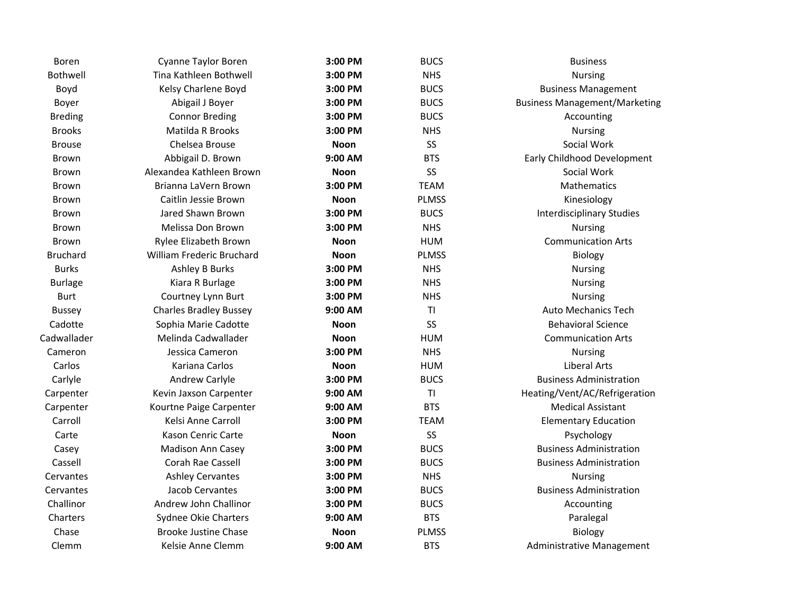| Boren           | <b>Cyanne Taylor Boren</b>    | 3:00 PM     | <b>BUCS</b>    | <b>Business</b>                      |
|-----------------|-------------------------------|-------------|----------------|--------------------------------------|
| Bothwell        | Tina Kathleen Bothwell        | 3:00 PM     | <b>NHS</b>     | <b>Nursing</b>                       |
| Boyd            | Kelsy Charlene Boyd           | 3:00 PM     | <b>BUCS</b>    | <b>Business Management</b>           |
| Boyer           | Abigail J Boyer               | 3:00 PM     | <b>BUCS</b>    | <b>Business Management/Marketing</b> |
| <b>Breding</b>  | <b>Connor Breding</b>         | 3:00 PM     | <b>BUCS</b>    | Accounting                           |
| <b>Brooks</b>   | Matilda R Brooks              | 3:00 PM     | <b>NHS</b>     | <b>Nursing</b>                       |
| <b>Brouse</b>   | Chelsea Brouse                | <b>Noon</b> | <b>SS</b>      | Social Work                          |
| <b>Brown</b>    | Abbigail D. Brown             | 9:00 AM     | <b>BTS</b>     | Early Childhood Development          |
| <b>Brown</b>    | Alexandea Kathleen Brown      | <b>Noon</b> | SS             | Social Work                          |
| Brown           | Brianna LaVern Brown          | 3:00 PM     | <b>TEAM</b>    | Mathematics                          |
| Brown           | Caitlin Jessie Brown          | <b>Noon</b> | <b>PLMSS</b>   | Kinesiology                          |
| Brown           | Jared Shawn Brown             | 3:00 PM     | <b>BUCS</b>    | <b>Interdisciplinary Studies</b>     |
| Brown           | Melissa Don Brown             | 3:00 PM     | <b>NHS</b>     | <b>Nursing</b>                       |
| <b>Brown</b>    | Rylee Elizabeth Brown         | <b>Noon</b> | <b>HUM</b>     | <b>Communication Arts</b>            |
| <b>Bruchard</b> | William Frederic Bruchard     | <b>Noon</b> | <b>PLMSS</b>   | Biology                              |
| <b>Burks</b>    | Ashley B Burks                | 3:00 PM     | <b>NHS</b>     | <b>Nursing</b>                       |
| <b>Burlage</b>  | Kiara R Burlage               | 3:00 PM     | <b>NHS</b>     | <b>Nursing</b>                       |
| <b>Burt</b>     | Courtney Lynn Burt            | 3:00 PM     | <b>NHS</b>     | <b>Nursing</b>                       |
| <b>Bussey</b>   | <b>Charles Bradley Bussey</b> | 9:00 AM     | T1             | <b>Auto Mechanics Tech</b>           |
| Cadotte         | Sophia Marie Cadotte          | <b>Noon</b> | <b>SS</b>      | <b>Behavioral Science</b>            |
| Cadwallader     | Melinda Cadwallader           | <b>Noon</b> | <b>HUM</b>     | <b>Communication Arts</b>            |
| Cameron         | Jessica Cameron               | 3:00 PM     | <b>NHS</b>     | <b>Nursing</b>                       |
| Carlos          | Kariana Carlos                | <b>Noon</b> | <b>HUM</b>     | <b>Liberal Arts</b>                  |
| Carlyle         | Andrew Carlyle                | 3:00 PM     | <b>BUCS</b>    | <b>Business Administration</b>       |
| Carpenter       | Kevin Jaxson Carpenter        | 9:00 AM     | T <sub>l</sub> | Heating/Vent/AC/Refrigeration        |
| Carpenter       | Kourtne Paige Carpenter       | 9:00 AM     | <b>BTS</b>     | <b>Medical Assistant</b>             |
| Carroll         | Kelsi Anne Carroll            | 3:00 PM     | <b>TEAM</b>    | <b>Elementary Education</b>          |
| Carte           | Kason Cenric Carte            | <b>Noon</b> | SS             | Psychology                           |
| Casey           | Madison Ann Casey             | 3:00 PM     | <b>BUCS</b>    | <b>Business Administration</b>       |
| Cassell         | Corah Rae Cassell             | 3:00 PM     | <b>BUCS</b>    | <b>Business Administration</b>       |
| Cervantes       | <b>Ashley Cervantes</b>       | 3:00 PM     | <b>NHS</b>     | <b>Nursing</b>                       |
| Cervantes       | Jacob Cervantes               | 3:00 PM     | <b>BUCS</b>    | <b>Business Administration</b>       |
| Challinor       | Andrew John Challinor         | 3:00 PM     | <b>BUCS</b>    | Accounting                           |
| Charters        | Sydnee Okie Charters          | 9:00 AM     | <b>BTS</b>     | Paralegal                            |
| Chase           | <b>Brooke Justine Chase</b>   | <b>Noon</b> | <b>PLMSS</b>   | Biology                              |
| Clemm           | Kelsie Anne Clemm             | 9:00 AM     | <b>BTS</b>     | Administrative Management            |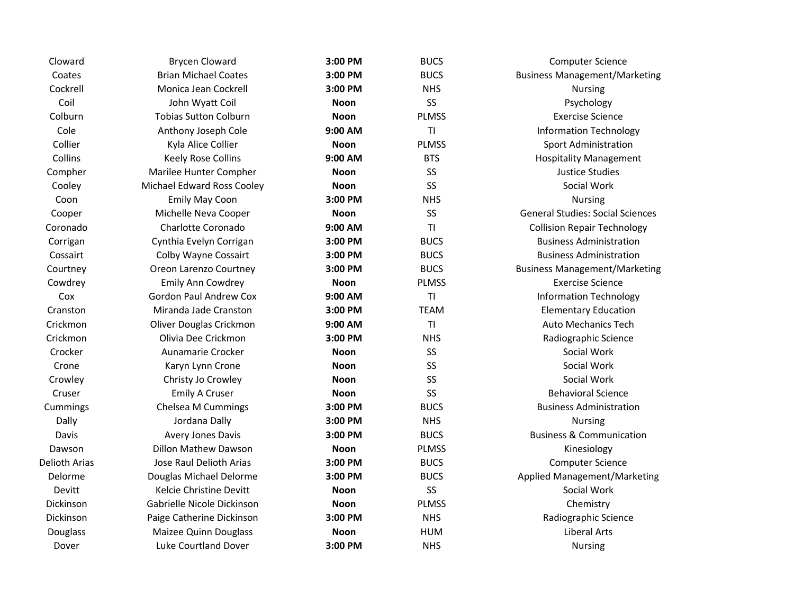| Cloward       | <b>Brycen Cloward</b>         | 3:00 PM     | <b>BUCS</b>  | <b>Computer Science</b>                 |
|---------------|-------------------------------|-------------|--------------|-----------------------------------------|
| Coates        | <b>Brian Michael Coates</b>   | 3:00 PM     | <b>BUCS</b>  | <b>Business Management/Marketing</b>    |
| Cockrell      | Monica Jean Cockrell          | 3:00 PM     | <b>NHS</b>   | <b>Nursing</b>                          |
| Coil          | John Wyatt Coil               | <b>Noon</b> | SS           | Psychology                              |
| Colburn       | <b>Tobias Sutton Colburn</b>  | <b>Noon</b> | <b>PLMSS</b> | <b>Exercise Science</b>                 |
| Cole          | Anthony Joseph Cole           | 9:00 AM     | TI           | <b>Information Technology</b>           |
| Collier       | Kyla Alice Collier            | <b>Noon</b> | <b>PLMSS</b> | <b>Sport Administration</b>             |
| Collins       | <b>Keely Rose Collins</b>     | 9:00 AM     | <b>BTS</b>   | <b>Hospitality Management</b>           |
| Compher       | Marilee Hunter Compher        | <b>Noon</b> | SS           | <b>Justice Studies</b>                  |
| Cooley        | Michael Edward Ross Cooley    | <b>Noon</b> | SS           | Social Work                             |
| Coon          | Emily May Coon                | 3:00 PM     | <b>NHS</b>   | <b>Nursing</b>                          |
| Cooper        | Michelle Neva Cooper          | <b>Noon</b> | SS           | <b>General Studies: Social Sciences</b> |
| Coronado      | Charlotte Coronado            | 9:00 AM     | TI           | <b>Collision Repair Technology</b>      |
| Corrigan      | Cynthia Evelyn Corrigan       | 3:00 PM     | <b>BUCS</b>  | <b>Business Administration</b>          |
| Cossairt      | Colby Wayne Cossairt          | 3:00 PM     | <b>BUCS</b>  | <b>Business Administration</b>          |
| Courtney      | Oreon Larenzo Courtney        | 3:00 PM     | <b>BUCS</b>  | <b>Business Management/Marketing</b>    |
| Cowdrey       | <b>Emily Ann Cowdrey</b>      | <b>Noon</b> | <b>PLMSS</b> | <b>Exercise Science</b>                 |
| Cox           | <b>Gordon Paul Andrew Cox</b> | 9:00 AM     | TI           | <b>Information Technology</b>           |
| Cranston      | Miranda Jade Cranston         | 3:00 PM     | <b>TEAM</b>  | <b>Elementary Education</b>             |
| Crickmon      | Oliver Douglas Crickmon       | 9:00 AM     | TI           | <b>Auto Mechanics Tech</b>              |
| Crickmon      | Olivia Dee Crickmon           | 3:00 PM     | <b>NHS</b>   | Radiographic Science                    |
| Crocker       | Aunamarie Crocker             | <b>Noon</b> | SS           | Social Work                             |
| Crone         | Karyn Lynn Crone              | <b>Noon</b> | SS           | Social Work                             |
| Crowley       | Christy Jo Crowley            | <b>Noon</b> | SS           | Social Work                             |
| Cruser        | <b>Emily A Cruser</b>         | <b>Noon</b> | SS           | <b>Behavioral Science</b>               |
| Cummings      | Chelsea M Cummings            | 3:00 PM     | <b>BUCS</b>  | <b>Business Administration</b>          |
| Dally         | Jordana Dally                 | 3:00 PM     | <b>NHS</b>   | <b>Nursing</b>                          |
| Davis         | Avery Jones Davis             | 3:00 PM     | <b>BUCS</b>  | <b>Business &amp; Communication</b>     |
| Dawson        | <b>Dillon Mathew Dawson</b>   | <b>Noon</b> | <b>PLMSS</b> | Kinesiology                             |
| Delioth Arias | Jose Raul Delioth Arias       | 3:00 PM     | <b>BUCS</b>  | <b>Computer Science</b>                 |
| Delorme       | Douglas Michael Delorme       | 3:00 PM     | <b>BUCS</b>  | Applied Management/Marketing            |
| Devitt        | Kelcie Christine Devitt       | <b>Noon</b> | SS           | Social Work                             |
| Dickinson     | Gabrielle Nicole Dickinson    | <b>Noon</b> | <b>PLMSS</b> | Chemistry                               |
| Dickinson     | Paige Catherine Dickinson     | 3:00 PM     | <b>NHS</b>   | Radiographic Science                    |
| Douglass      | Maizee Quinn Douglass         | Noon        | <b>HUM</b>   | <b>Liberal Arts</b>                     |
| Dover         | <b>Luke Courtland Dover</b>   | 3:00 PM     | <b>NHS</b>   | <b>Nursing</b>                          |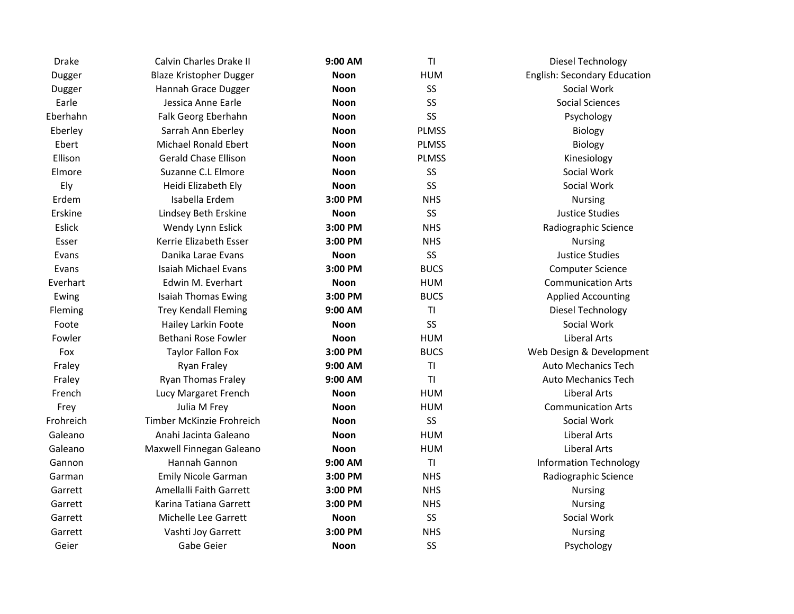| <b>Drake</b> | Calvin Charles Drake II        | 9:00 AM     | TI           | Diesel Technology                   |
|--------------|--------------------------------|-------------|--------------|-------------------------------------|
| Dugger       | <b>Blaze Kristopher Dugger</b> | <b>Noon</b> | <b>HUM</b>   | <b>English: Secondary Education</b> |
| Dugger       | Hannah Grace Dugger            | <b>Noon</b> | SS           | Social Work                         |
| Earle        | Jessica Anne Earle             | <b>Noon</b> | SS           | <b>Social Sciences</b>              |
| Eberhahn     | Falk Georg Eberhahn            | <b>Noon</b> | <b>SS</b>    | Psychology                          |
| Eberley      | Sarrah Ann Eberley             | <b>Noon</b> | <b>PLMSS</b> | Biology                             |
| Ebert        | <b>Michael Ronald Ebert</b>    | <b>Noon</b> | <b>PLMSS</b> | Biology                             |
| Ellison      | <b>Gerald Chase Ellison</b>    | <b>Noon</b> | <b>PLMSS</b> | Kinesiology                         |
| Elmore       | Suzanne C.L Elmore             | <b>Noon</b> | SS           | Social Work                         |
| Ely          | Heidi Elizabeth Ely            | <b>Noon</b> | <b>SS</b>    | Social Work                         |
| Erdem        | Isabella Erdem                 | 3:00 PM     | <b>NHS</b>   | <b>Nursing</b>                      |
| Erskine      | Lindsey Beth Erskine           | <b>Noon</b> | SS           | Justice Studies                     |
| Eslick       | Wendy Lynn Eslick              | 3:00 PM     | <b>NHS</b>   | Radiographic Science                |
| Esser        | Kerrie Elizabeth Esser         | 3:00 PM     | <b>NHS</b>   | <b>Nursing</b>                      |
| Evans        | Danika Larae Evans             | <b>Noon</b> | SS           | <b>Justice Studies</b>              |
| Evans        | <b>Isaiah Michael Evans</b>    | 3:00 PM     | <b>BUCS</b>  | <b>Computer Science</b>             |
| Everhart     | Edwin M. Everhart              | <b>Noon</b> | <b>HUM</b>   | <b>Communication Arts</b>           |
| Ewing        | <b>Isaiah Thomas Ewing</b>     | 3:00 PM     | <b>BUCS</b>  | <b>Applied Accounting</b>           |
| Fleming      | <b>Trey Kendall Fleming</b>    | 9:00 AM     | T1           | Diesel Technology                   |
| Foote        | Hailey Larkin Foote            | <b>Noon</b> | SS           | Social Work                         |
| Fowler       | Bethani Rose Fowler            | <b>Noon</b> | <b>HUM</b>   | <b>Liberal Arts</b>                 |
| Fox          | <b>Taylor Fallon Fox</b>       | 3:00 PM     | <b>BUCS</b>  | Web Design & Development            |
| Fraley       | Ryan Fraley                    | 9:00 AM     | T1           | <b>Auto Mechanics Tech</b>          |
| Fraley       | Ryan Thomas Fraley             | 9:00 AM     | TI           | <b>Auto Mechanics Tech</b>          |
| French       | Lucy Margaret French           | <b>Noon</b> | <b>HUM</b>   | <b>Liberal Arts</b>                 |
| Frey         | Julia M Frey                   | <b>Noon</b> | <b>HUM</b>   | <b>Communication Arts</b>           |
| Frohreich    | Timber McKinzie Frohreich      | <b>Noon</b> | SS           | Social Work                         |
| Galeano      | Anahi Jacinta Galeano          | <b>Noon</b> | <b>HUM</b>   | <b>Liberal Arts</b>                 |
| Galeano      | Maxwell Finnegan Galeano       | <b>Noon</b> | <b>HUM</b>   | <b>Liberal Arts</b>                 |
| Gannon       | Hannah Gannon                  | 9:00 AM     | T1           | <b>Information Technology</b>       |
| Garman       | Emily Nicole Garman            | 3:00 PM     | <b>NHS</b>   | Radiographic Science                |
| Garrett      | Amellalli Faith Garrett        | 3:00 PM     | <b>NHS</b>   | <b>Nursing</b>                      |
| Garrett      | Karina Tatiana Garrett         | 3:00 PM     | <b>NHS</b>   | <b>Nursing</b>                      |
| Garrett      | Michelle Lee Garrett           | <b>Noon</b> | SS           | Social Work                         |
| Garrett      | Vashti Joy Garrett             | 3:00 PM     | <b>NHS</b>   | <b>Nursing</b>                      |
| Geier        | Gabe Geier                     | <b>Noon</b> | <b>SS</b>    | Psychology                          |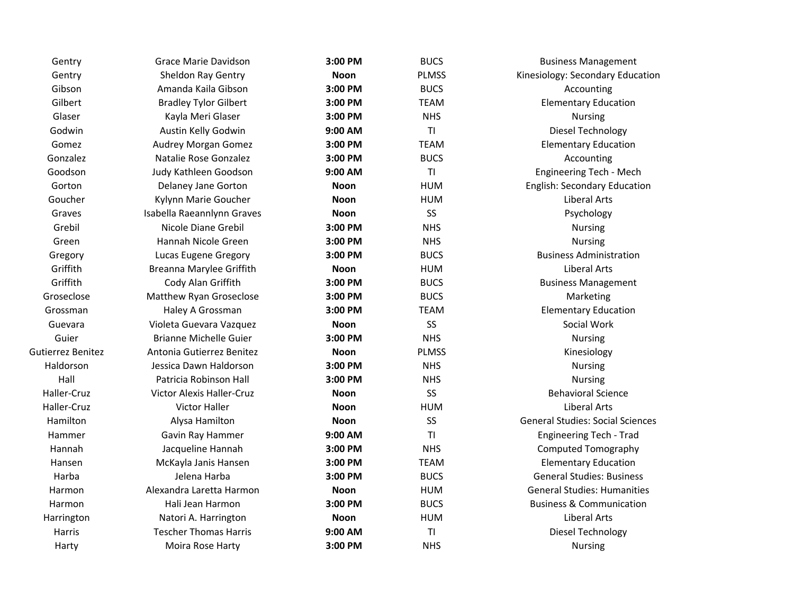| Gentry            | Grace Marie Davidson             | 3:00 PM     | <b>BUCS</b>  | <b>Business Management</b>              |
|-------------------|----------------------------------|-------------|--------------|-----------------------------------------|
| Gentry            | Sheldon Ray Gentry               | <b>Noon</b> | <b>PLMSS</b> | Kinesiology: Secondary Education        |
| Gibson            | Amanda Kaila Gibson              | 3:00 PM     | <b>BUCS</b>  | Accounting                              |
| Gilbert           | <b>Bradley Tylor Gilbert</b>     | 3:00 PM     | <b>TEAM</b>  | <b>Elementary Education</b>             |
| Glaser            | Kayla Meri Glaser                | 3:00 PM     | <b>NHS</b>   | <b>Nursing</b>                          |
| Godwin            | Austin Kelly Godwin              | 9:00 AM     | T1           | Diesel Technology                       |
| Gomez             | Audrey Morgan Gomez              | 3:00 PM     | <b>TEAM</b>  | <b>Elementary Education</b>             |
| Gonzalez          | Natalie Rose Gonzalez            | 3:00 PM     | <b>BUCS</b>  | Accounting                              |
| Goodson           | Judy Kathleen Goodson            | 9:00 AM     | TI           | <b>Engineering Tech - Mech</b>          |
| Gorton            | Delaney Jane Gorton              | <b>Noon</b> | <b>HUM</b>   | <b>English: Secondary Education</b>     |
| Goucher           | Kylynn Marie Goucher             | <b>Noon</b> | <b>HUM</b>   | <b>Liberal Arts</b>                     |
| Graves            | Isabella Raeannlynn Graves       | <b>Noon</b> | <b>SS</b>    | Psychology                              |
| Grebil            | Nicole Diane Grebil              | 3:00 PM     | <b>NHS</b>   | <b>Nursing</b>                          |
| Green             | Hannah Nicole Green              | 3:00 PM     | <b>NHS</b>   | <b>Nursing</b>                          |
| Gregory           | Lucas Eugene Gregory             | 3:00 PM     | <b>BUCS</b>  | <b>Business Administration</b>          |
| Griffith          | Breanna Marylee Griffith         | <b>Noon</b> | <b>HUM</b>   | <b>Liberal Arts</b>                     |
| Griffith          | Cody Alan Griffith               | 3:00 PM     | <b>BUCS</b>  | <b>Business Management</b>              |
| Groseclose        | Matthew Ryan Groseclose          | 3:00 PM     | <b>BUCS</b>  | Marketing                               |
| Grossman          | Haley A Grossman                 | 3:00 PM     | <b>TEAM</b>  | <b>Elementary Education</b>             |
| Guevara           | Violeta Guevara Vazquez          | <b>Noon</b> | SS           | Social Work                             |
| Guier             | <b>Brianne Michelle Guier</b>    | 3:00 PM     | <b>NHS</b>   | <b>Nursing</b>                          |
| Gutierrez Benitez | Antonia Gutierrez Benitez        | <b>Noon</b> | <b>PLMSS</b> | Kinesiology                             |
| Haldorson         | Jessica Dawn Haldorson           | 3:00 PM     | <b>NHS</b>   | <b>Nursing</b>                          |
| Hall              | Patricia Robinson Hall           | 3:00 PM     | <b>NHS</b>   | <b>Nursing</b>                          |
| Haller-Cruz       | <b>Victor Alexis Haller-Cruz</b> | <b>Noon</b> | <b>SS</b>    | <b>Behavioral Science</b>               |
| Haller-Cruz       | <b>Victor Haller</b>             | <b>Noon</b> | <b>HUM</b>   | <b>Liberal Arts</b>                     |
| Hamilton          | Alysa Hamilton                   | <b>Noon</b> | <b>SS</b>    | <b>General Studies: Social Sciences</b> |
| Hammer            | Gavin Ray Hammer                 | 9:00 AM     | TI           | <b>Engineering Tech - Trad</b>          |
| Hannah            | Jacqueline Hannah                | 3:00 PM     | <b>NHS</b>   | <b>Computed Tomography</b>              |
| Hansen            | McKayla Janis Hansen             | 3:00 PM     | <b>TEAM</b>  | <b>Elementary Education</b>             |
| Harba             | Jelena Harba                     | 3:00 PM     | <b>BUCS</b>  | <b>General Studies: Business</b>        |
| Harmon            | Alexandra Laretta Harmon         | <b>Noon</b> | <b>HUM</b>   | <b>General Studies: Humanities</b>      |
| Harmon            | Hali Jean Harmon                 | 3:00 PM     | <b>BUCS</b>  | <b>Business &amp; Communication</b>     |
| Harrington        | Natori A. Harrington             | <b>Noon</b> | <b>HUM</b>   | <b>Liberal Arts</b>                     |
| Harris            | <b>Tescher Thomas Harris</b>     | 9:00 AM     | TI           | Diesel Technology                       |
| Harty             | Moira Rose Harty                 | 3:00 PM     | <b>NHS</b>   | <b>Nursing</b>                          |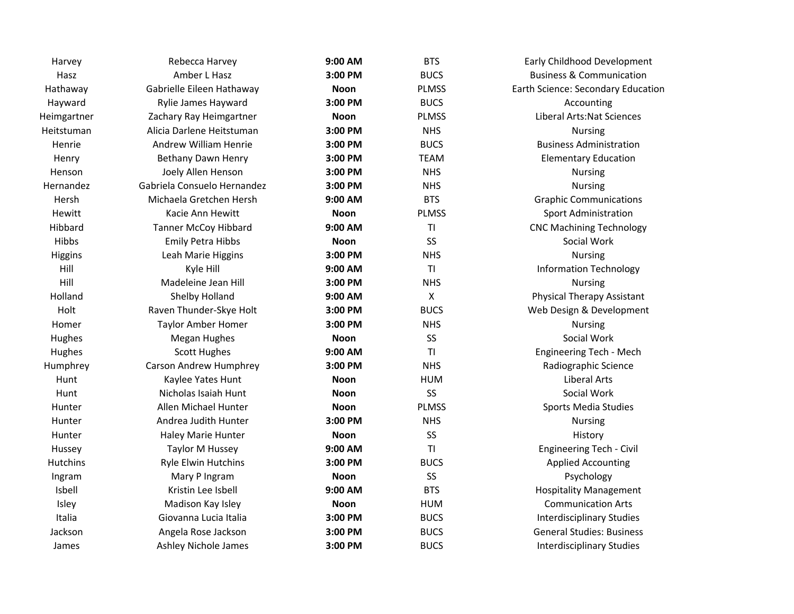| Harvey        | Rebecca Harvey                | 9:00 AM     | <b>BTS</b>                | Early Childhood Development               |
|---------------|-------------------------------|-------------|---------------------------|-------------------------------------------|
| Hasz          | Amber L Hasz                  | 3:00 PM     | <b>BUCS</b>               | <b>Business &amp; Communication</b>       |
| Hathaway      | Gabrielle Eileen Hathaway     | <b>Noon</b> | <b>PLMSS</b>              | <b>Earth Science: Secondary Education</b> |
| Hayward       | Rylie James Hayward           | 3:00 PM     | <b>BUCS</b>               | Accounting                                |
| Heimgartner   | Zachary Ray Heimgartner       | <b>Noon</b> | <b>PLMSS</b>              | Liberal Arts: Nat Sciences                |
| Heitstuman    | Alicia Darlene Heitstuman     | 3:00 PM     | <b>NHS</b>                | Nursing                                   |
| Henrie        | Andrew William Henrie         | 3:00 PM     | <b>BUCS</b>               | <b>Business Administration</b>            |
| Henry         | Bethany Dawn Henry            | 3:00 PM     | <b>TEAM</b>               | <b>Elementary Education</b>               |
| Henson        | Joely Allen Henson            | 3:00 PM     | <b>NHS</b>                | <b>Nursing</b>                            |
| Hernandez     | Gabriela Consuelo Hernandez   | 3:00 PM     | <b>NHS</b>                | <b>Nursing</b>                            |
| Hersh         | Michaela Gretchen Hersh       | $9:00$ AM   | <b>BTS</b>                | <b>Graphic Communications</b>             |
| Hewitt        | Kacie Ann Hewitt              | <b>Noon</b> | <b>PLMSS</b>              | <b>Sport Administration</b>               |
| Hibbard       | <b>Tanner McCoy Hibbard</b>   | 9:00 AM     | TI                        | <b>CNC Machining Technology</b>           |
| Hibbs         | <b>Emily Petra Hibbs</b>      | <b>Noon</b> | SS                        | Social Work                               |
| Higgins       | Leah Marie Higgins            | 3:00 PM     | <b>NHS</b>                | <b>Nursing</b>                            |
| Hill          | Kyle Hill                     | 9:00 AM     | TI                        | <b>Information Technology</b>             |
| Hill          | Madeleine Jean Hill           | 3:00 PM     | <b>NHS</b>                | <b>Nursing</b>                            |
| Holland       | Shelby Holland                | 9:00 AM     | $\boldsymbol{\mathsf{X}}$ | Physical Therapy Assistant                |
| Holt          | Raven Thunder-Skye Holt       | 3:00 PM     | <b>BUCS</b>               | Web Design & Development                  |
| Homer         | <b>Taylor Amber Homer</b>     | 3:00 PM     | <b>NHS</b>                | <b>Nursing</b>                            |
| Hughes        | <b>Megan Hughes</b>           | <b>Noon</b> | SS                        | Social Work                               |
| Hughes        | <b>Scott Hughes</b>           | 9:00 AM     | TI                        | <b>Engineering Tech - Mech</b>            |
| Humphrey      | <b>Carson Andrew Humphrey</b> | 3:00 PM     | <b>NHS</b>                | Radiographic Science                      |
| Hunt          | Kaylee Yates Hunt             | <b>Noon</b> | <b>HUM</b>                | <b>Liberal Arts</b>                       |
| Hunt          | Nicholas Isaiah Hunt          | <b>Noon</b> | SS                        | Social Work                               |
| Hunter        | Allen Michael Hunter          | <b>Noon</b> | <b>PLMSS</b>              | Sports Media Studies                      |
| Hunter        | Andrea Judith Hunter          | 3:00 PM     | <b>NHS</b>                | <b>Nursing</b>                            |
| Hunter        | Haley Marie Hunter            | <b>Noon</b> | SS                        | History                                   |
| Hussey        | Taylor M Hussey               | 9:00 AM     | ΤI                        | <b>Engineering Tech - Civil</b>           |
| Hutchins      | <b>Ryle Elwin Hutchins</b>    | 3:00 PM     | <b>BUCS</b>               | <b>Applied Accounting</b>                 |
| Ingram        | Mary P Ingram                 | <b>Noon</b> | SS                        | Psychology                                |
| <b>Isbell</b> | Kristin Lee Isbell            | 9:00 AM     | <b>BTS</b>                | <b>Hospitality Management</b>             |
| Isley         | Madison Kay Isley             | <b>Noon</b> | <b>HUM</b>                | <b>Communication Arts</b>                 |
| Italia        | Giovanna Lucia Italia         | 3:00 PM     | <b>BUCS</b>               | <b>Interdisciplinary Studies</b>          |
| Jackson       | Angela Rose Jackson           | 3:00 PM     | <b>BUCS</b>               | <b>General Studies: Business</b>          |
| James         | Ashley Nichole James          | 3:00 PM     | <b>BUCS</b>               | <b>Interdisciplinary Studies</b>          |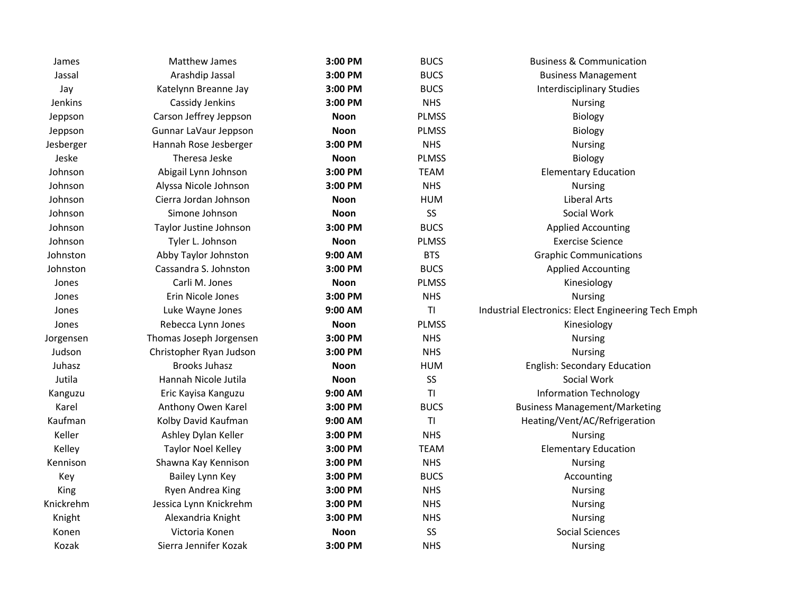| James     | Matthew James           | 3:00 PM     | <b>BUCS</b>    | <b>Business &amp; Communication</b>                 |
|-----------|-------------------------|-------------|----------------|-----------------------------------------------------|
| Jassal    | Arashdip Jassal         | 3:00 PM     | <b>BUCS</b>    | <b>Business Management</b>                          |
| Jay       | Katelynn Breanne Jay    | 3:00 PM     | <b>BUCS</b>    | <b>Interdisciplinary Studies</b>                    |
| Jenkins   | Cassidy Jenkins         | 3:00 PM     | <b>NHS</b>     | <b>Nursing</b>                                      |
| Jeppson   | Carson Jeffrey Jeppson  | <b>Noon</b> | <b>PLMSS</b>   | Biology                                             |
| Jeppson   | Gunnar LaVaur Jeppson   | <b>Noon</b> | <b>PLMSS</b>   | Biology                                             |
| Jesberger | Hannah Rose Jesberger   | 3:00 PM     | <b>NHS</b>     | <b>Nursing</b>                                      |
| Jeske     | Theresa Jeske           | <b>Noon</b> | <b>PLMSS</b>   | Biology                                             |
| Johnson   | Abigail Lynn Johnson    | 3:00 PM     | <b>TEAM</b>    | <b>Elementary Education</b>                         |
| Johnson   | Alyssa Nicole Johnson   | 3:00 PM     | <b>NHS</b>     | <b>Nursing</b>                                      |
| Johnson   | Cierra Jordan Johnson   | <b>Noon</b> | <b>HUM</b>     | <b>Liberal Arts</b>                                 |
| Johnson   | Simone Johnson          | <b>Noon</b> | SS             | Social Work                                         |
| Johnson   | Taylor Justine Johnson  | 3:00 PM     | <b>BUCS</b>    | <b>Applied Accounting</b>                           |
| Johnson   | Tyler L. Johnson        | <b>Noon</b> | <b>PLMSS</b>   | <b>Exercise Science</b>                             |
| Johnston  | Abby Taylor Johnston    | 9:00 AM     | <b>BTS</b>     | <b>Graphic Communications</b>                       |
| Johnston  | Cassandra S. Johnston   | 3:00 PM     | <b>BUCS</b>    | <b>Applied Accounting</b>                           |
| Jones     | Carli M. Jones          | <b>Noon</b> | <b>PLMSS</b>   | Kinesiology                                         |
| Jones     | Erin Nicole Jones       | 3:00 PM     | <b>NHS</b>     | <b>Nursing</b>                                      |
| Jones     | Luke Wayne Jones        | 9:00 AM     | T <sub>l</sub> | Industrial Electronics: Elect Engineering Tech Emph |
| Jones     | Rebecca Lynn Jones      | <b>Noon</b> | <b>PLMSS</b>   | Kinesiology                                         |
| Jorgensen | Thomas Joseph Jorgensen | 3:00 PM     | <b>NHS</b>     | Nursing                                             |
| Judson    | Christopher Ryan Judson | 3:00 PM     | <b>NHS</b>     | <b>Nursing</b>                                      |
| Juhasz    | <b>Brooks Juhasz</b>    | <b>Noon</b> | <b>HUM</b>     | <b>English: Secondary Education</b>                 |
| Jutila    | Hannah Nicole Jutila    | <b>Noon</b> | SS             | Social Work                                         |
| Kanguzu   | Eric Kayisa Kanguzu     | 9:00 AM     | T1             | <b>Information Technology</b>                       |
| Karel     | Anthony Owen Karel      | 3:00 PM     | <b>BUCS</b>    | <b>Business Management/Marketing</b>                |
| Kaufman   | Kolby David Kaufman     | 9:00 AM     | T <sub>l</sub> | Heating/Vent/AC/Refrigeration                       |
| Keller    | Ashley Dylan Keller     | 3:00 PM     | <b>NHS</b>     | <b>Nursing</b>                                      |
| Kelley    | Taylor Noel Kelley      | 3:00 PM     | <b>TEAM</b>    | <b>Elementary Education</b>                         |
| Kennison  | Shawna Kay Kennison     | 3:00 PM     | <b>NHS</b>     | <b>Nursing</b>                                      |
| Key       | Bailey Lynn Key         | 3:00 PM     | <b>BUCS</b>    | Accounting                                          |
| King      | Ryen Andrea King        | 3:00 PM     | <b>NHS</b>     | <b>Nursing</b>                                      |
| Knickrehm | Jessica Lynn Knickrehm  | 3:00 PM     | <b>NHS</b>     | <b>Nursing</b>                                      |
| Knight    | Alexandria Knight       | 3:00 PM     | <b>NHS</b>     | Nursing                                             |
| Konen     | Victoria Konen          | <b>Noon</b> | SS             | <b>Social Sciences</b>                              |
| Kozak     | Sierra Jennifer Kozak   | 3:00 PM     | <b>NHS</b>     | <b>Nursing</b>                                      |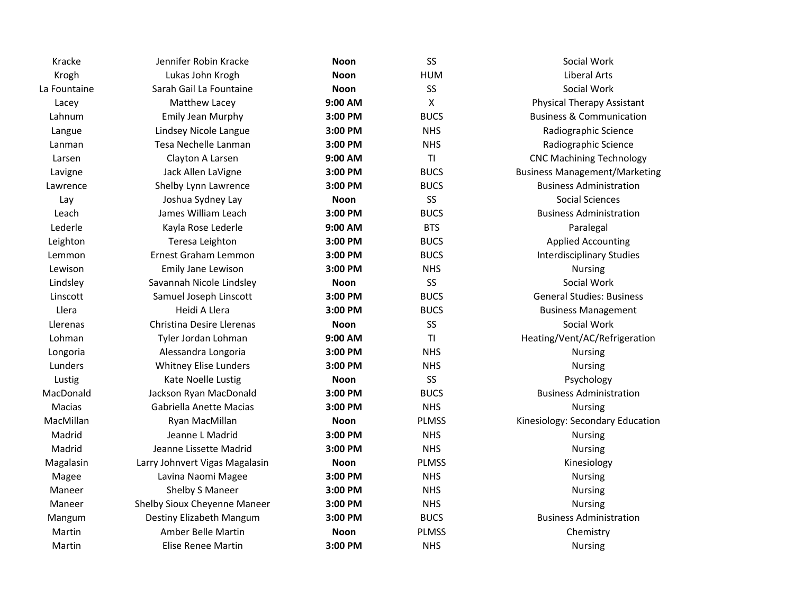| Kracke       | Jennifer Robin Kracke          | <b>Noon</b> | SS           | Social Work                          |
|--------------|--------------------------------|-------------|--------------|--------------------------------------|
| Krogh        | Lukas John Krogh               | <b>Noon</b> | <b>HUM</b>   | <b>Liberal Arts</b>                  |
| La Fountaine | Sarah Gail La Fountaine        | <b>Noon</b> | SS           | Social Work                          |
| Lacey        | Matthew Lacey                  | 9:00 AM     | X            | Physical Therapy Assistant           |
| Lahnum       | Emily Jean Murphy              | 3:00 PM     | <b>BUCS</b>  | <b>Business &amp; Communication</b>  |
| Langue       | Lindsey Nicole Langue          | 3:00 PM     | <b>NHS</b>   | Radiographic Science                 |
| Lanman       | Tesa Nechelle Lanman           | 3:00 PM     | <b>NHS</b>   | Radiographic Science                 |
| Larsen       | Clayton A Larsen               | 9:00 AM     | TI           | <b>CNC Machining Technology</b>      |
| Lavigne      | Jack Allen LaVigne             | 3:00 PM     | <b>BUCS</b>  | <b>Business Management/Marketing</b> |
| Lawrence     | Shelby Lynn Lawrence           | 3:00 PM     | <b>BUCS</b>  | <b>Business Administration</b>       |
| Lay          | Joshua Sydney Lay              | <b>Noon</b> | SS           | <b>Social Sciences</b>               |
| Leach        | James William Leach            | 3:00 PM     | <b>BUCS</b>  | <b>Business Administration</b>       |
| Lederle      | Kayla Rose Lederle             | 9:00 AM     | <b>BTS</b>   | Paralegal                            |
| Leighton     | Teresa Leighton                | 3:00 PM     | <b>BUCS</b>  | <b>Applied Accounting</b>            |
| Lemmon       | Ernest Graham Lemmon           | 3:00 PM     | <b>BUCS</b>  | <b>Interdisciplinary Studies</b>     |
| Lewison      | Emily Jane Lewison             | 3:00 PM     | <b>NHS</b>   | <b>Nursing</b>                       |
| Lindsley     | Savannah Nicole Lindsley       | <b>Noon</b> | SS           | Social Work                          |
| Linscott     | Samuel Joseph Linscott         | 3:00 PM     | <b>BUCS</b>  | <b>General Studies: Business</b>     |
| Llera        | Heidi A Llera                  | 3:00 PM     | <b>BUCS</b>  | <b>Business Management</b>           |
| Llerenas     | Christina Desire Llerenas      | <b>Noon</b> | SS           | Social Work                          |
| Lohman       | Tyler Jordan Lohman            | 9:00 AM     | T1           | Heating/Vent/AC/Refrigeration        |
| Longoria     | Alessandra Longoria            | 3:00 PM     | <b>NHS</b>   | <b>Nursing</b>                       |
| Lunders      | Whitney Elise Lunders          | 3:00 PM     | <b>NHS</b>   | <b>Nursing</b>                       |
| Lustig       | Kate Noelle Lustig             | <b>Noon</b> | SS           | Psychology                           |
| MacDonald    | Jackson Ryan MacDonald         | 3:00 PM     | <b>BUCS</b>  | <b>Business Administration</b>       |
| Macias       | Gabriella Anette Macias        | 3:00 PM     | <b>NHS</b>   | <b>Nursing</b>                       |
| MacMillan    | Ryan MacMillan                 | <b>Noon</b> | <b>PLMSS</b> | Kinesiology: Secondary Education     |
| Madrid       | Jeanne L Madrid                | 3:00 PM     | <b>NHS</b>   | Nursing                              |
| Madrid       | Jeanne Lissette Madrid         | 3:00 PM     | <b>NHS</b>   | <b>Nursing</b>                       |
| Magalasin    | Larry Johnvert Vigas Magalasin | <b>Noon</b> | <b>PLMSS</b> | Kinesiology                          |
| Magee        | Lavina Naomi Magee             | 3:00 PM     | <b>NHS</b>   | Nursing                              |
| Maneer       | Shelby S Maneer                | 3:00 PM     | <b>NHS</b>   | <b>Nursing</b>                       |
| Maneer       | Shelby Sioux Cheyenne Maneer   | 3:00 PM     | <b>NHS</b>   | Nursing                              |
| Mangum       | Destiny Elizabeth Mangum       | 3:00 PM     | <b>BUCS</b>  | <b>Business Administration</b>       |
| Martin       | Amber Belle Martin             | <b>Noon</b> | <b>PLMSS</b> | Chemistry                            |
| Martin       | Elise Renee Martin             | 3:00 PM     | <b>NHS</b>   | <b>Nursing</b>                       |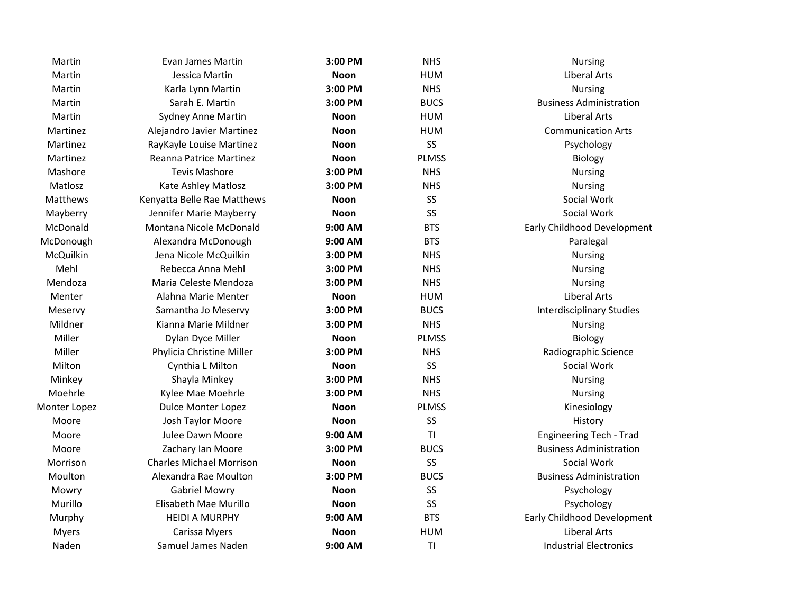| Martin       | Evan James Martin               | 3:00 PM     | <b>NHS</b>   | <b>Nursing</b>                   |
|--------------|---------------------------------|-------------|--------------|----------------------------------|
| Martin       | Jessica Martin                  | <b>Noon</b> | <b>HUM</b>   | <b>Liberal Arts</b>              |
| Martin       | Karla Lynn Martin               | 3:00 PM     | <b>NHS</b>   | <b>Nursing</b>                   |
| Martin       | Sarah E. Martin                 | 3:00 PM     | <b>BUCS</b>  | <b>Business Administration</b>   |
| Martin       | <b>Sydney Anne Martin</b>       | <b>Noon</b> | <b>HUM</b>   | <b>Liberal Arts</b>              |
| Martinez     | Alejandro Javier Martinez       | <b>Noon</b> | <b>HUM</b>   | <b>Communication Arts</b>        |
| Martinez     | RayKayle Louise Martinez        | <b>Noon</b> | SS           | Psychology                       |
| Martinez     | Reanna Patrice Martinez         | <b>Noon</b> | <b>PLMSS</b> | <b>Biology</b>                   |
| Mashore      | <b>Tevis Mashore</b>            | 3:00 PM     | <b>NHS</b>   | <b>Nursing</b>                   |
| Matlosz      | Kate Ashley Matlosz             | 3:00 PM     | <b>NHS</b>   | <b>Nursing</b>                   |
| Matthews     | Kenyatta Belle Rae Matthews     | <b>Noon</b> | <b>SS</b>    | Social Work                      |
| Mayberry     | Jennifer Marie Mayberry         | <b>Noon</b> | SS           | Social Work                      |
| McDonald     | Montana Nicole McDonald         | 9:00 AM     | <b>BTS</b>   | Early Childhood Development      |
| McDonough    | Alexandra McDonough             | 9:00 AM     | <b>BTS</b>   | Paralegal                        |
| McQuilkin    | Jena Nicole McQuilkin           | 3:00 PM     | <b>NHS</b>   | <b>Nursing</b>                   |
| Mehl         | Rebecca Anna Mehl               | 3:00 PM     | <b>NHS</b>   | <b>Nursing</b>                   |
| Mendoza      | Maria Celeste Mendoza           | 3:00 PM     | <b>NHS</b>   | <b>Nursing</b>                   |
| Menter       | Alahna Marie Menter             | <b>Noon</b> | <b>HUM</b>   | <b>Liberal Arts</b>              |
| Meservy      | Samantha Jo Meservy             | 3:00 PM     | <b>BUCS</b>  | <b>Interdisciplinary Studies</b> |
| Mildner      | Kianna Marie Mildner            | 3:00 PM     | <b>NHS</b>   | Nursing                          |
| Miller       | Dylan Dyce Miller               | <b>Noon</b> | <b>PLMSS</b> | Biology                          |
| Miller       | Phylicia Christine Miller       | 3:00 PM     | <b>NHS</b>   | Radiographic Science             |
| Milton       | Cynthia L Milton                | <b>Noon</b> | <b>SS</b>    | Social Work                      |
| Minkey       | Shayla Minkey                   | 3:00 PM     | <b>NHS</b>   | <b>Nursing</b>                   |
| Moehrle      | Kylee Mae Moehrle               | 3:00 PM     | <b>NHS</b>   | <b>Nursing</b>                   |
| Monter Lopez | <b>Dulce Monter Lopez</b>       | <b>Noon</b> | <b>PLMSS</b> | Kinesiology                      |
| Moore        | Josh Taylor Moore               | <b>Noon</b> | SS           | History                          |
| Moore        | Julee Dawn Moore                | 9:00 AM     | TI           | <b>Engineering Tech - Trad</b>   |
| Moore        | Zachary Ian Moore               | 3:00 PM     | <b>BUCS</b>  | <b>Business Administration</b>   |
| Morrison     | <b>Charles Michael Morrison</b> | <b>Noon</b> | SS           | Social Work                      |
| Moulton      | Alexandra Rae Moulton           | 3:00 PM     | <b>BUCS</b>  | <b>Business Administration</b>   |
| Mowry        | <b>Gabriel Mowry</b>            | <b>Noon</b> | SS           | Psychology                       |
| Murillo      | Elisabeth Mae Murillo           | <b>Noon</b> | SS           | Psychology                       |
| Murphy       | <b>HEIDI A MURPHY</b>           | 9:00 AM     | <b>BTS</b>   | Early Childhood Development      |
| Myers        | Carissa Myers                   | <b>Noon</b> | <b>HUM</b>   | <b>Liberal Arts</b>              |
| Naden        | Samuel James Naden              | 9:00 AM     | TI           | <b>Industrial Electronics</b>    |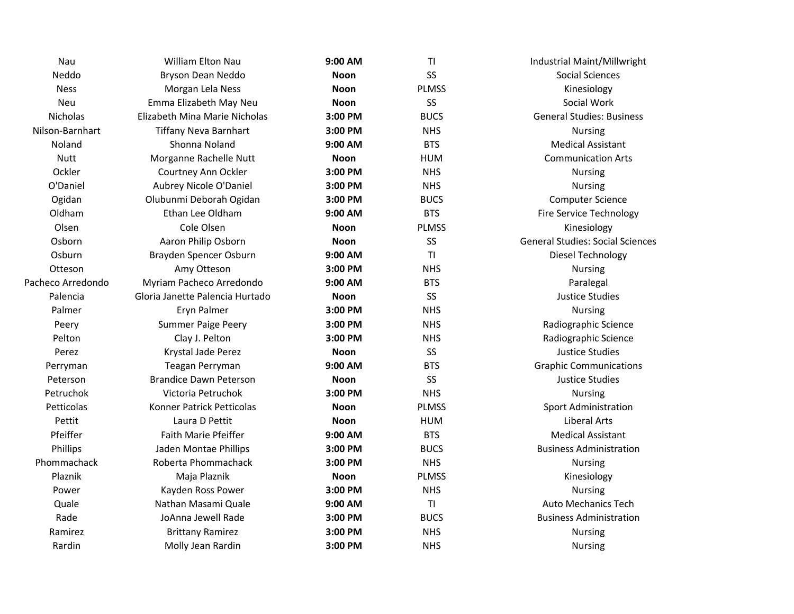| Nau               | William Elton Nau               | 9:00 AM     | TI           | Industrial Maint/Millwright             |
|-------------------|---------------------------------|-------------|--------------|-----------------------------------------|
| Neddo             | Bryson Dean Neddo               | <b>Noon</b> | SS           | Social Sciences                         |
| <b>Ness</b>       | Morgan Lela Ness                | <b>Noon</b> | <b>PLMSS</b> | Kinesiology                             |
| Neu               | Emma Elizabeth May Neu          | <b>Noon</b> | <b>SS</b>    | Social Work                             |
| Nicholas          | Elizabeth Mina Marie Nicholas   | 3:00 PM     | <b>BUCS</b>  | <b>General Studies: Business</b>        |
| Nilson-Barnhart   | <b>Tiffany Neva Barnhart</b>    | 3:00 PM     | <b>NHS</b>   | <b>Nursing</b>                          |
| Noland            | Shonna Noland                   | 9:00 AM     | <b>BTS</b>   | <b>Medical Assistant</b>                |
| <b>Nutt</b>       | Morganne Rachelle Nutt          | <b>Noon</b> | <b>HUM</b>   | <b>Communication Arts</b>               |
| Ockler            | Courtney Ann Ockler             | 3:00 PM     | <b>NHS</b>   | <b>Nursing</b>                          |
| O'Daniel          | Aubrey Nicole O'Daniel          | 3:00 PM     | <b>NHS</b>   | <b>Nursing</b>                          |
| Ogidan            | Olubunmi Deborah Ogidan         | 3:00 PM     | <b>BUCS</b>  | <b>Computer Science</b>                 |
| Oldham            | Ethan Lee Oldham                | 9:00 AM     | <b>BTS</b>   | <b>Fire Service Technology</b>          |
| Olsen             | Cole Olsen                      | <b>Noon</b> | <b>PLMSS</b> | Kinesiology                             |
| Osborn            | Aaron Philip Osborn             | <b>Noon</b> | SS           | <b>General Studies: Social Sciences</b> |
| Osburn            | Brayden Spencer Osburn          | 9:00 AM     | TI           | Diesel Technology                       |
| Otteson           | Amy Otteson                     | 3:00 PM     | <b>NHS</b>   | Nursing                                 |
| Pacheco Arredondo | Myriam Pacheco Arredondo        | 9:00 AM     | <b>BTS</b>   | Paralegal                               |
| Palencia          | Gloria Janette Palencia Hurtado | <b>Noon</b> | SS           | <b>Justice Studies</b>                  |
| Palmer            | Eryn Palmer                     | 3:00 PM     | <b>NHS</b>   | <b>Nursing</b>                          |
| Peery             | Summer Paige Peery              | 3:00 PM     | <b>NHS</b>   | Radiographic Science                    |
| Pelton            | Clay J. Pelton                  | 3:00 PM     | <b>NHS</b>   | Radiographic Science                    |
| Perez             | Krystal Jade Perez              | <b>Noon</b> | SS           | <b>Justice Studies</b>                  |
| Perryman          | Teagan Perryman                 | $9:00$ AM   | <b>BTS</b>   | <b>Graphic Communications</b>           |
| Peterson          | <b>Brandice Dawn Peterson</b>   | <b>Noon</b> | SS           | Justice Studies                         |
| Petruchok         | Victoria Petruchok              | 3:00 PM     | <b>NHS</b>   | <b>Nursing</b>                          |
| Petticolas        | Konner Patrick Petticolas       | <b>Noon</b> | <b>PLMSS</b> | <b>Sport Administration</b>             |
| Pettit            | Laura D Pettit                  | <b>Noon</b> | <b>HUM</b>   | <b>Liberal Arts</b>                     |
| Pfeiffer          | Faith Marie Pfeiffer            | 9:00 AM     | <b>BTS</b>   | <b>Medical Assistant</b>                |
| Phillips          | Jaden Montae Phillips           | 3:00 PM     | <b>BUCS</b>  | <b>Business Administration</b>          |
| Phommachack       | Roberta Phommachack             | 3:00 PM     | <b>NHS</b>   | <b>Nursing</b>                          |
| Plaznik           | Maja Plaznik                    | <b>Noon</b> | <b>PLMSS</b> | Kinesiology                             |
| Power             | Kayden Ross Power               | 3:00 PM     | <b>NHS</b>   | <b>Nursing</b>                          |
| Quale             | Nathan Masami Quale             | 9:00 AM     | ΤI           | <b>Auto Mechanics Tech</b>              |
| Rade              | JoAnna Jewell Rade              | 3:00 PM     | <b>BUCS</b>  | <b>Business Administration</b>          |
| Ramirez           | <b>Brittany Ramirez</b>         | 3:00 PM     | <b>NHS</b>   | <b>Nursing</b>                          |
| Rardin            | Molly Jean Rardin               | 3:00 PM     | <b>NHS</b>   | <b>Nursing</b>                          |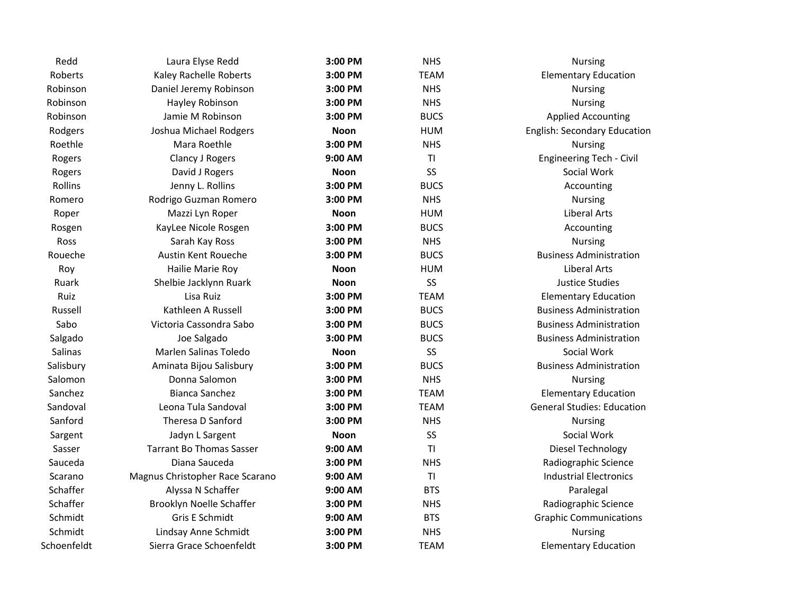| Redd        | Laura Elyse Redd                | 3:00 PM     | <b>NHS</b>  | Nursing                             |
|-------------|---------------------------------|-------------|-------------|-------------------------------------|
| Roberts     | Kaley Rachelle Roberts          | 3:00 PM     | <b>TEAM</b> | <b>Elementary Education</b>         |
| Robinson    | Daniel Jeremy Robinson          | 3:00 PM     | <b>NHS</b>  | <b>Nursing</b>                      |
| Robinson    | Hayley Robinson                 | 3:00 PM     | <b>NHS</b>  | <b>Nursing</b>                      |
| Robinson    | Jamie M Robinson                | 3:00 PM     | <b>BUCS</b> | <b>Applied Accounting</b>           |
| Rodgers     | Joshua Michael Rodgers          | <b>Noon</b> | <b>HUM</b>  | <b>English: Secondary Education</b> |
| Roethle     | Mara Roethle                    | 3:00 PM     | <b>NHS</b>  | <b>Nursing</b>                      |
| Rogers      | Clancy J Rogers                 | 9:00 AM     | ΤI          | Engineering Tech - Civil            |
| Rogers      | David J Rogers                  | <b>Noon</b> | SS          | Social Work                         |
| Rollins     | Jenny L. Rollins                | 3:00 PM     | <b>BUCS</b> | Accounting                          |
| Romero      | Rodrigo Guzman Romero           | 3:00 PM     | <b>NHS</b>  | <b>Nursing</b>                      |
| Roper       | Mazzi Lyn Roper                 | <b>Noon</b> | <b>HUM</b>  | Liberal Arts                        |
| Rosgen      | KayLee Nicole Rosgen            | 3:00 PM     | <b>BUCS</b> | Accounting                          |
| Ross        | Sarah Kay Ross                  | 3:00 PM     | <b>NHS</b>  | <b>Nursing</b>                      |
| Roueche     | Austin Kent Roueche             | 3:00 PM     | <b>BUCS</b> | <b>Business Administration</b>      |
| Roy         | Hailie Marie Roy                | <b>Noon</b> | <b>HUM</b>  | Liberal Arts                        |
| Ruark       | Shelbie Jacklynn Ruark          | <b>Noon</b> | SS          | Justice Studies                     |
| Ruiz        | Lisa Ruiz                       | 3:00 PM     | <b>TEAM</b> | <b>Elementary Education</b>         |
| Russell     | Kathleen A Russell              | 3:00 PM     | <b>BUCS</b> | <b>Business Administration</b>      |
| Sabo        | Victoria Cassondra Sabo         | 3:00 PM     | <b>BUCS</b> | <b>Business Administration</b>      |
| Salgado     | Joe Salgado                     | 3:00 PM     | <b>BUCS</b> | <b>Business Administration</b>      |
| Salinas     | Marlen Salinas Toledo           | <b>Noon</b> | SS          | Social Work                         |
| Salisbury   | Aminata Bijou Salisbury         | 3:00 PM     | <b>BUCS</b> | <b>Business Administration</b>      |
| Salomon     | Donna Salomon                   | 3:00 PM     | <b>NHS</b>  | <b>Nursing</b>                      |
| Sanchez     | <b>Bianca Sanchez</b>           | 3:00 PM     | <b>TEAM</b> | <b>Elementary Education</b>         |
| Sandoval    | Leona Tula Sandoval             | 3:00 PM     | <b>TEAM</b> | <b>General Studies: Education</b>   |
| Sanford     | Theresa D Sanford               | 3:00 PM     | <b>NHS</b>  | <b>Nursing</b>                      |
| Sargent     | Jadyn L Sargent                 | <b>Noon</b> | SS          | Social Work                         |
| Sasser      | <b>Tarrant Bo Thomas Sasser</b> | 9:00 AM     | TI          | Diesel Technology                   |
| Sauceda     | Diana Sauceda                   | 3:00 PM     | <b>NHS</b>  | Radiographic Science                |
| Scarano     | Magnus Christopher Race Scarano | 9:00 AM     | TI          | <b>Industrial Electronics</b>       |
| Schaffer    | Alyssa N Schaffer               | 9:00 AM     | <b>BTS</b>  | Paralegal                           |
| Schaffer    | Brooklyn Noelle Schaffer        | 3:00 PM     | <b>NHS</b>  | Radiographic Science                |
| Schmidt     | Gris E Schmidt                  | 9:00 AM     | <b>BTS</b>  | <b>Graphic Communications</b>       |
| Schmidt     | Lindsay Anne Schmidt            | 3:00 PM     | <b>NHS</b>  | <b>Nursing</b>                      |
| Schoenfeldt | Sierra Grace Schoenfeldt        | 3:00 PM     | <b>TEAM</b> | <b>Elementary Education</b>         |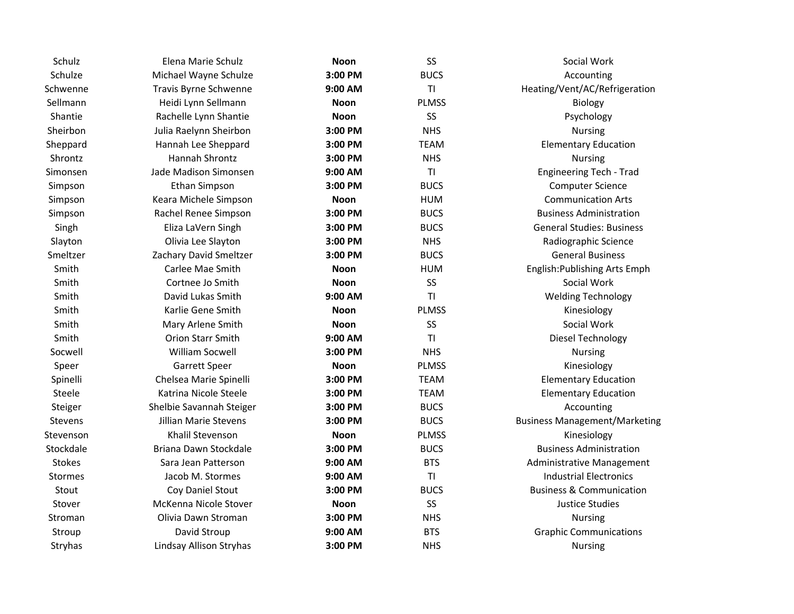| Schulz         | Elena Marie Schulz       | <b>Noon</b> | <b>SS</b>    | Social Work                          |
|----------------|--------------------------|-------------|--------------|--------------------------------------|
| Schulze        | Michael Wayne Schulze    | 3:00 PM     | <b>BUCS</b>  | Accounting                           |
| Schwenne       | Travis Byrne Schwenne    | 9:00 AM     | TI           | Heating/Vent/AC/Refrigeration        |
| Sellmann       | Heidi Lynn Sellmann      | <b>Noon</b> | <b>PLMSS</b> | <b>Biology</b>                       |
| Shantie        | Rachelle Lynn Shantie    | <b>Noon</b> | SS           | Psychology                           |
| Sheirbon       | Julia Raelynn Sheirbon   | 3:00 PM     | <b>NHS</b>   | <b>Nursing</b>                       |
| Sheppard       | Hannah Lee Sheppard      | 3:00 PM     | <b>TEAM</b>  | <b>Elementary Education</b>          |
| Shrontz        | Hannah Shrontz           | 3:00 PM     | <b>NHS</b>   | <b>Nursing</b>                       |
| Simonsen       | Jade Madison Simonsen    | 9:00 AM     | TI           | <b>Engineering Tech - Trad</b>       |
| Simpson        | Ethan Simpson            | 3:00 PM     | <b>BUCS</b>  | <b>Computer Science</b>              |
| Simpson        | Keara Michele Simpson    | Noon        | <b>HUM</b>   | <b>Communication Arts</b>            |
| Simpson        | Rachel Renee Simpson     | 3:00 PM     | <b>BUCS</b>  | <b>Business Administration</b>       |
| Singh          | Eliza LaVern Singh       | 3:00 PM     | <b>BUCS</b>  | <b>General Studies: Business</b>     |
| Slayton        | Olivia Lee Slayton       | 3:00 PM     | <b>NHS</b>   | Radiographic Science                 |
| Smeltzer       | Zachary David Smeltzer   | 3:00 PM     | <b>BUCS</b>  | <b>General Business</b>              |
| Smith          | Carlee Mae Smith         | <b>Noon</b> | <b>HUM</b>   | English: Publishing Arts Emph        |
| Smith          | Cortnee Jo Smith         | <b>Noon</b> | SS           | Social Work                          |
| Smith          | David Lukas Smith        | 9:00 AM     | ΤI           | <b>Welding Technology</b>            |
| Smith          | Karlie Gene Smith        | <b>Noon</b> | <b>PLMSS</b> | Kinesiology                          |
| Smith          | Mary Arlene Smith        | <b>Noon</b> | SS           | Social Work                          |
| Smith          | Orion Starr Smith        | 9:00 AM     | ΤI           | Diesel Technology                    |
| Socwell        | William Socwell          | 3:00 PM     | <b>NHS</b>   | <b>Nursing</b>                       |
| Speer          | Garrett Speer            | <b>Noon</b> | <b>PLMSS</b> | Kinesiology                          |
| Spinelli       | Chelsea Marie Spinelli   | 3:00 PM     | <b>TEAM</b>  | <b>Elementary Education</b>          |
| Steele         | Katrina Nicole Steele    | 3:00 PM     | <b>TEAM</b>  | <b>Elementary Education</b>          |
| Steiger        | Shelbie Savannah Steiger | 3:00 PM     | <b>BUCS</b>  | Accounting                           |
| <b>Stevens</b> | Jillian Marie Stevens    | 3:00 PM     | <b>BUCS</b>  | <b>Business Management/Marketing</b> |
| Stevenson      | Khalil Stevenson         | <b>Noon</b> | <b>PLMSS</b> | Kinesiology                          |
| Stockdale      | Briana Dawn Stockdale    | 3:00 PM     | <b>BUCS</b>  | <b>Business Administration</b>       |
| <b>Stokes</b>  | Sara Jean Patterson      | 9:00 AM     | <b>BTS</b>   | Administrative Management            |
| <b>Stormes</b> | Jacob M. Stormes         | 9:00 AM     | TI           | <b>Industrial Electronics</b>        |
| Stout          | Coy Daniel Stout         | 3:00 PM     | <b>BUCS</b>  | <b>Business &amp; Communication</b>  |
| Stover         | McKenna Nicole Stover    | <b>Noon</b> | SS           | <b>Justice Studies</b>               |
| Stroman        | Olivia Dawn Stroman      | 3:00 PM     | <b>NHS</b>   | <b>Nursing</b>                       |
| Stroup         | David Stroup             | 9:00 AM     | <b>BTS</b>   | <b>Graphic Communications</b>        |
| Stryhas        | Lindsay Allison Stryhas  | 3:00 PM     | <b>NHS</b>   | <b>Nursing</b>                       |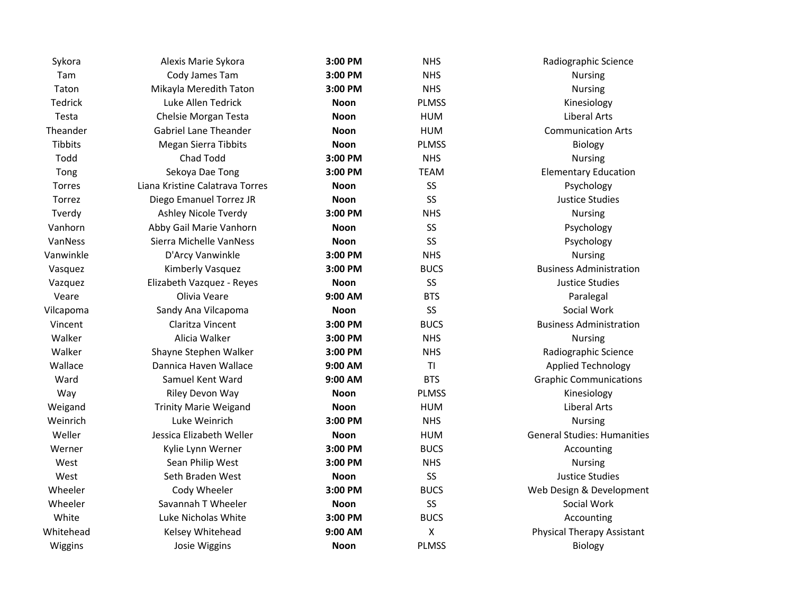| Sykora         | Alexis Marie Sykora             | 3:00 PM     | <b>NHS</b>     | Radiographic Science               |
|----------------|---------------------------------|-------------|----------------|------------------------------------|
| Tam            | Cody James Tam                  | 3:00 PM     | <b>NHS</b>     | <b>Nursing</b>                     |
| Taton          | Mikayla Meredith Taton          | 3:00 PM     | <b>NHS</b>     | <b>Nursing</b>                     |
| <b>Tedrick</b> | Luke Allen Tedrick              | <b>Noon</b> | <b>PLMSS</b>   | Kinesiology                        |
| Testa          | Chelsie Morgan Testa            | <b>Noon</b> | <b>HUM</b>     | Liberal Arts                       |
| Theander       | <b>Gabriel Lane Theander</b>    | <b>Noon</b> | <b>HUM</b>     | <b>Communication Arts</b>          |
| <b>Tibbits</b> | <b>Megan Sierra Tibbits</b>     | <b>Noon</b> | <b>PLMSS</b>   | Biology                            |
| Todd           | Chad Todd                       | 3:00 PM     | <b>NHS</b>     | <b>Nursing</b>                     |
| Tong           | Sekoya Dae Tong                 | 3:00 PM     | <b>TEAM</b>    | <b>Elementary Education</b>        |
| Torres         | Liana Kristine Calatrava Torres | <b>Noon</b> | SS             | Psychology                         |
| Torrez         | Diego Emanuel Torrez JR         | <b>Noon</b> | SS             | <b>Justice Studies</b>             |
| Tverdy         | Ashley Nicole Tverdy            | 3:00 PM     | <b>NHS</b>     | Nursing                            |
| Vanhorn        | Abby Gail Marie Vanhorn         | <b>Noon</b> | SS             | Psychology                         |
| VanNess        | Sierra Michelle VanNess         | <b>Noon</b> | SS             | Psychology                         |
| Vanwinkle      | D'Arcy Vanwinkle                | 3:00 PM     | <b>NHS</b>     | <b>Nursing</b>                     |
| Vasquez        | Kimberly Vasquez                | 3:00 PM     | <b>BUCS</b>    | <b>Business Administration</b>     |
| Vazquez        | Elizabeth Vazquez - Reyes       | <b>Noon</b> | SS             | <b>Justice Studies</b>             |
| Veare          | Olivia Veare                    | 9:00 AM     | <b>BTS</b>     | Paralegal                          |
| Vilcapoma      | Sandy Ana Vilcapoma             | <b>Noon</b> | SS             | Social Work                        |
| Vincent        | Claritza Vincent                | 3:00 PM     | <b>BUCS</b>    | <b>Business Administration</b>     |
| Walker         | Alicia Walker                   | 3:00 PM     | <b>NHS</b>     | <b>Nursing</b>                     |
| Walker         | Shayne Stephen Walker           | 3:00 PM     | <b>NHS</b>     | Radiographic Science               |
| Wallace        | Dannica Haven Wallace           | 9:00 AM     | T1             | <b>Applied Technology</b>          |
| Ward           | Samuel Kent Ward                | 9:00 AM     | <b>BTS</b>     | <b>Graphic Communications</b>      |
| Way            | Riley Devon Way                 | <b>Noon</b> | <b>PLMSS</b>   | Kinesiology                        |
| Weigand        | <b>Trinity Marie Weigand</b>    | <b>Noon</b> | <b>HUM</b>     | Liberal Arts                       |
| Weinrich       | Luke Weinrich                   | 3:00 PM     | <b>NHS</b>     | <b>Nursing</b>                     |
| Weller         | Jessica Elizabeth Weller        | <b>Noon</b> | <b>HUM</b>     | <b>General Studies: Humanities</b> |
| Werner         | Kylie Lynn Werner               | 3:00 PM     | <b>BUCS</b>    | Accounting                         |
| West           | Sean Philip West                | 3:00 PM     | <b>NHS</b>     | <b>Nursing</b>                     |
| West           | Seth Braden West                | <b>Noon</b> | SS             | <b>Justice Studies</b>             |
| Wheeler        | Cody Wheeler                    | 3:00 PM     | <b>BUCS</b>    | Web Design & Development           |
| Wheeler        | Savannah T Wheeler              | Noon        | SS             | Social Work                        |
| White          | Luke Nicholas White             | 3:00 PM     | <b>BUCS</b>    | Accounting                         |
| Whitehead      | Kelsey Whitehead                | 9:00 AM     | $\pmb{\times}$ | Physical Therapy Assistant         |
| Wiggins        | Josie Wiggins                   | Noon        | <b>PLMSS</b>   | Biology                            |